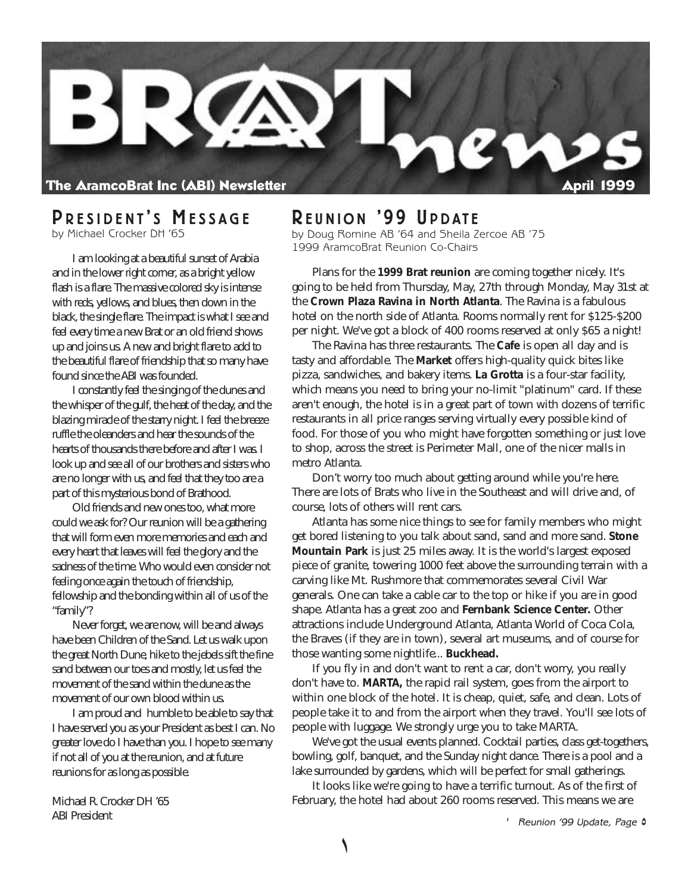

### **P RESIDENT ' S M ESSAGE**

by Michael Crocker DH '65

I am looking at a beautiful sunset of Arabia and in the lower right corner, as a bright yellow flash is a flare. The massive colored sky is intense with reds, yellows, and blues, then down in the black, the single flare. The impact is what I see and feel every time a new Brat or an old friend shows up and joins us. A new and bright flare to add to the beautiful flare of friendship that so many have found since the ABI was founded.

I constantly feel the singing of the dunes and the whisper of the gulf, the heat of the day, and the blazing miracle of the starry night. I feel the breeze ruffle the oleanders and hear the sounds of the hearts of thousands there before and after I was. I look up and see all of our brothers and sisters who are no longer with us, and feel that they too are a part of this mysterious bond of Brathood.

Old friends and new ones too, what more could we ask for? Our reunion will be a gathering that will form even more memories and each and every heart that leaves will feel the glory and the sadness of the time. Who would even consider not feeling once again the touch of friendship, fellowship and the bonding within all of us of the "family"?

Never forget, we are now, will be and always have been Children of the Sand. Let us walk upon the great North Dune, hike to the jebels sift the fine sand between our toes and mostly, let us feel the movement of the sand within the dune as the movement of our own blood within us.

I am proud and humble to be able to say that I have served you as your President as best I can. No greater love do I have than you. I hope to see many if not all of you at the reunion, and at future reunions for as long as possible.

Michael R. Crocker DH '65 ABI President

### **R EUNION '99 U PDATE**

by Doug Romine AB '64 and Sheila Zercoe AB '75 1999 AramcoBrat Reunion Co-Chairs

Plans for the **1999 Brat reunion** are coming together nicely. It's going to be held from Thursday, May, 27th through Monday, May 31st at the **Crown Plaza Ravina in North Atlanta**. The Ravina is a fabulous hotel on the north side of Atlanta. Rooms normally rent for \$125-\$200 per night. We've got a block of 400 rooms reserved at only \$65 a night!

The Ravina has three restaurants. The **Cafe** is open all day and is tasty and affordable. The **Market** offers high-quality quick bites like pizza, sandwiches, and bakery items. **La Grotta** is a four-star facility, which means you need to bring your no-limit "platinum" card. If these aren't enough, the hotel is in a great part of town with dozens of terrific restaurants in all price ranges serving virtually every possible kind of food. For those of you who might have forgotten something or just love to shop, across the street is Perimeter Mall, one of the nicer malls in metro Atlanta.

Don't worry too much about getting around while you're here. There are lots of Brats who live in the Southeast and will drive and, of course, lots of others will rent cars.

Atlanta has some nice things to see for family members who might get bored listening to you talk about sand, sand and more sand. **Stone Mountain Park** is just 25 miles away. It is the world's largest exposed piece of granite, towering 1000 feet above the surrounding terrain with a carving like Mt. Rushmore that commemorates several Civil War generals. One can take a cable car to the top or hike if you are in good shape. Atlanta has a great zoo and **Fernbank Science Center.** Other attractions include Underground Atlanta, Atlanta World of Coca Cola, the Braves (if they are in town), several art museums, and of course for those wanting some nightlife... **Buckhead.**

If you fly in and don't want to rent a car, don't worry, you really don't have to. **MARTA,** the rapid rail system, goes from the airport to within one block of the hotel. It is cheap, quiet, safe, and clean. Lots of people take it to and from the airport when they travel. You'll see lots of people with luggage. We strongly urge you to take MARTA.

We've got the usual events planned. Cocktail parties, class get-togethers, bowling, golf, banquet, and the Sunday night dance. There is a pool and a lake surrounded by gardens, which will be perfect for small gatherings.

It looks like we're going to have a terrific turnout. As of the first of February, the hotel had about 260 rooms reserved. This means we are

' Reunion '99 Update, Page 0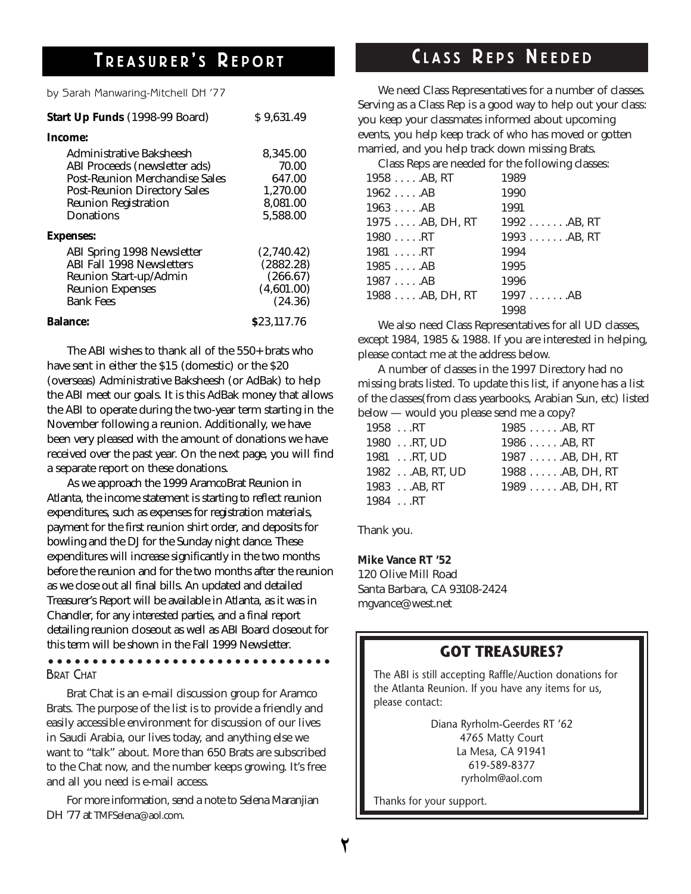# $T$  **REASURER'S REPORT**

by Sarah Manwaring-Mitchell DH '77

| Start Up Funds (1998-99 Board)        | \$9,631.49  |
|---------------------------------------|-------------|
| Income:                               |             |
| Administrative Baksheesh              | 8,345.00    |
| ABI Proceeds (newsletter ads)         | 70.00       |
| <b>Post-Reunion Merchandise Sales</b> | 647.00      |
| <b>Post-Reunion Directory Sales</b>   | 1.270.00    |
| <b>Reunion Registration</b>           | 8.081.00    |
| <b>Donations</b>                      | 5,588.00    |
| <b>Expenses:</b>                      |             |
| <b>ABI Spring 1998 Newsletter</b>     | (2,740.42)  |
| <b>ABI Fall 1998 Newsletters</b>      | (2882.28)   |
| Reunion Start-up/Admin                | (266.67)    |
| <b>Reunion Expenses</b>               | (4,601.00)  |
| <b>Bank Fees</b>                      | (24.36)     |
| <b>Balance:</b>                       | \$23.117.76 |

The ABI wishes to thank all of the 550+ brats who have sent in either the \$15 (domestic) or the \$20 (overseas) Administrative Baksheesh (or AdBak) to help the ABI meet our goals. It is this AdBak money that allows the ABI to operate during the two-year term starting in the November following a reunion. Additionally, we have been very pleased with the amount of donations we have received over the past year. On the next page, you will find a separate report on these donations.

As we approach the 1999 AramcoBrat Reunion in Atlanta, the income statement is starting to reflect reunion expenditures, such as expenses for registration materials, payment for the first reunion shirt order, and deposits for bowling and the DJ for the Sunday night dance. These expenditures will increase significantly in the two months before the reunion and for the two months after the reunion as we close out all final bills. An updated and detailed Treasurer's Report will be available in Atlanta, as it was in Chandler, for any interested parties, and a final report detailing reunion closeout as well as ABI Board closeout for this term will be shown in the Fall 1999 Newsletter.

BRAT CHAT

Brat Chat is an e-mail discussion group for Aramco Brats. The purpose of the list is to provide a friendly and easily accessible environment for discussion of our lives in Saudi Arabia, our lives today, and anything else we want to "talk" about. More than 650 Brats are subscribed to the Chat now, and the number keeps growing. It's free and all you need is e-mail access.

For more information, send a note to Selena Maranjian DH '77 at TMFSelena@aol.com.

### **C L A S S R E P S N E E D E D**

We need Class Representatives for a number of classes. Serving as a Class Rep is a good way to help out your class: you keep your classmates informed about upcoming events, you help keep track of who has moved or gotten married, and you help track down missing Brats.

Class Reps are needed for the following classes:

| $1958 \ldots$ AB, RT | 1989          |
|----------------------|---------------|
| $1962 \ldots$ .AB    | 1990          |
| $1963 \ldots$ .AB    | 1991          |
| 1975  AB, DH, RT     | $1992AB$ , RT |
| $1980 \ldots$ .RT    | 1993AB, RT    |
| $1981 \ldots RT$     | 1994          |
| $1985 \ldots$ AB     | 1995          |
| $1987 \ldots$ .AB    | 1996          |
| $1988$ $AB$ , DH, RT | 1997AB        |
|                      | 1998          |

We also need Class Representatives for all UD classes, except 1984, 1985 & 1988. If you are interested in helping, please contact me at the address below.

A number of classes in the 1997 Directory had no missing brats listed. To update this list, if anyone has a list of the classes(from class yearbooks, Arabian Sun, etc) listed below — would you please send me a copy?

| 1958RT            | $1985 \ldots$ . AB, RT |
|-------------------|------------------------|
| $1980$ RT. UD     | $1986$ $AB$ . $RT$     |
| $1981$ RT. UD     | $1987$ AB, DH, RT      |
| $1982$ AB, RT, UD | $1988$ AB, DH, RT      |
| $1983$ AB, RT     | $1989$ AB, DH, RT      |
| $1984$ RT         |                        |

Thank you.

**Mike Vance RT '52** 120 Olive Mill Road Santa Barbara, CA 93108-2424 mgvance@west.net

### **GOT TREASURES?**

The ABI is still accepting Raffle/Auction donations for the Atlanta Reunion. If you have any items for us, please contact:

> Diana Ryrholm-Geerdes RT '62 4765 Matty Court La Mesa, CA 91941 619-589-8377 ryrholm@aol.com

Thanks for your support.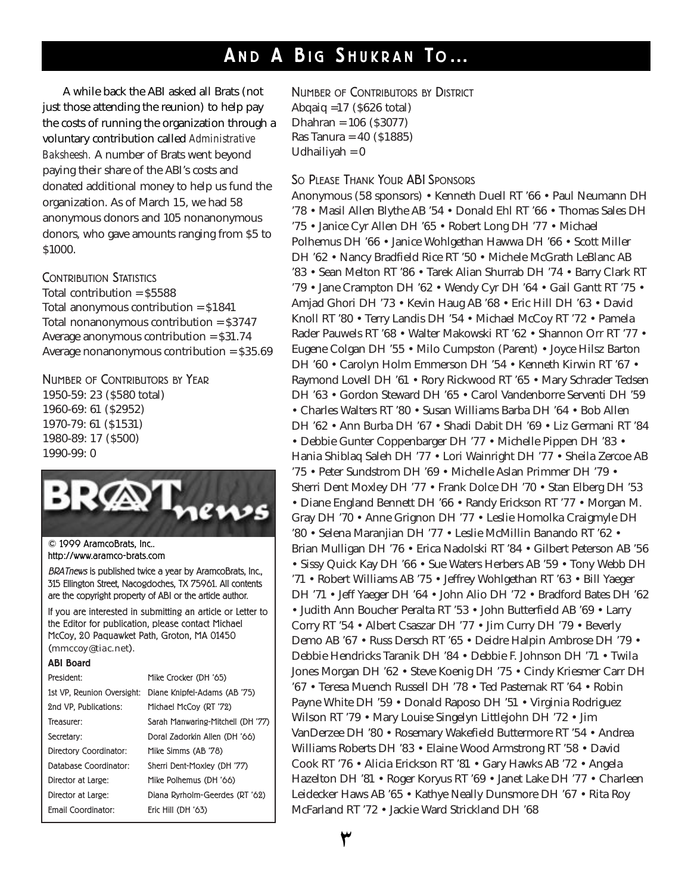# **A N D A B I G S H U K R A N T O…**

A while back the ABI asked all Brats (not just those attending the reunion) to help pay the costs of running the organization through a voluntary contribution called *Administrative Baksheesh.* A number of Brats went beyond paying their share of the ABI's costs and donated additional money to help us fund the organization. As of March 15, we had 58 anonymous donors and 105 nonanonymous donors, who gave amounts ranging from \$5 to \$1000.

CONTRIBUTION STATISTICS

Total contribution = \$5588 Total anonymous contribution = \$1841 Total nonanonymous contribution = \$3747 Average anonymous contribution = \$31.74 Average nonanonymous contribution = \$35.69

NUMBER OF CONTRIBUTORS BY YEAR 1950-59: 23 (\$580 total) 1960-69: 61 (\$2952) 1970-79: 61 (\$1531) 1980-89: 17 (\$500) 1990-99: 0



© 1999 AramcoBrats, Inc.. http://www.aramco-brats.com

BRATnews is published twice a year by AramcoBrats, Inc., 315 Ellington Street, Nacogdoches, TX 75961. All contents are the copyright property of ABI or the article author.

If you are interested in submitting an article or Letter to the Editor for publication, please contact Michael McCoy, 20 Paquawket Path, Groton, MA 01450 (mmccoy@tiac.net).

| <b>ABI Board</b>           |                                   |
|----------------------------|-----------------------------------|
| President:                 | Mike Crocker (DH '65)             |
| 1st VP. Reunion Oversight: | Diane Knipfel-Adams (AB '75)      |
| 2nd VP. Publications:      | Michael McCoy (RT '72)            |
| Treasurer:                 | Sarah Manwaring-Mitchell (DH '77) |
| Secretary:                 | Doral Zadorkin Allen (DH '66)     |
| Directory Coordinator:     | Mike Simms (AB '78)               |
| Database Coordinator:      | Sherri Dent-Moxley (DH '77)       |
| Director at Large:         | Mike Polhemus (DH '66)            |
| Director at Large:         | Diana Ryrholm-Geerdes (RT '62)    |
| <b>Fmail Coordinator:</b>  | Eric Hill (DH '63)                |
|                            |                                   |

NUMBER OF CONTRIBUTORS BY DISTRICT Abqaiq =17 (\$626 total) Dhahran = 106 (\$3077) Ras Tanura = 40 (\$1885) Udhailiyah  $= 0$ 

### SO PLEASE THANK YOUR ABI SPONSORS

Anonymous (58 sponsors) • Kenneth Duell RT '66 • Paul Neumann DH '78 • Masil Allen Blythe AB '54 • Donald Ehl RT '66 • Thomas Sales DH '75 • Janice Cyr Allen DH '65 • Robert Long DH '77 • Michael Polhemus DH '66 • Janice Wohlgethan Hawwa DH '66 • Scott Miller DH '62 • Nancy Bradfield Rice RT '50 • Michele McGrath LeBlanc AB '83 • Sean Melton RT '86 • Tarek Alian Shurrab DH '74 • Barry Clark RT '79 • Jane Crampton DH '62 • Wendy Cyr DH '64 • Gail Gantt RT '75 • Amjad Ghori DH '73 • Kevin Haug AB '68 • Eric Hill DH '63 • David Knoll RT '80 • Terry Landis DH '54 • Michael McCoy RT '72 • Pamela Rader Pauwels RT '68 • Walter Makowski RT '62 • Shannon Orr RT '77 • Eugene Colgan DH '55 • Milo Cumpston (Parent) • Joyce Hilsz Barton DH '60 • Carolyn Holm Emmerson DH '54 • Kenneth Kirwin RT '67 • Raymond Lovell DH '61 • Rory Rickwood RT '65 • Mary Schrader Tedsen DH '63 • Gordon Steward DH '65 • Carol Vandenborre Serventi DH '59 • Charles Walters RT '80 • Susan Williams Barba DH '64 • Bob Allen DH '62 • Ann Burba DH '67 • Shadi Dabit DH '69 • Liz Germani RT '84 • Debbie Gunter Coppenbarger DH '77 • Michelle Pippen DH '83 • Hania Shiblaq Saleh DH '77 • Lori Wainright DH '77 • Sheila Zercoe AB '75 • Peter Sundstrom DH '69 • Michelle Aslan Primmer DH '79 • Sherri Dent Moxley DH '77 • Frank Dolce DH '70 • Stan Elberg DH '53 • Diane England Bennett DH '66 • Randy Erickson RT '77 • Morgan M. Gray DH '70 • Anne Grignon DH '77 • Leslie Homolka Craigmyle DH '80 • Selena Maranjian DH '77 • Leslie McMillin Banando RT '62 • Brian Mulligan DH '76 • Erica Nadolski RT '84 • Gilbert Peterson AB '56 • Sissy Quick Kay DH '66 • Sue Waters Herbers AB '59 • Tony Webb DH '71 • Robert Williams AB '75 • Jeffrey Wohlgethan RT '63 • Bill Yaeger DH '71 • Jeff Yaeger DH '64 • John Alio DH '72 • Bradford Bates DH '62 • Judith Ann Boucher Peralta RT '53 • John Butterfield AB '69 • Larry Corry RT '54 • Albert Csaszar DH '77 • Jim Curry DH '79 • Beverly Demo AB '67 • Russ Dersch RT '65 • Deidre Halpin Ambrose DH '79 • Debbie Hendricks Taranik DH '84 • Debbie F. Johnson DH '71 • Twila Jones Morgan DH '62 • Steve Koenig DH '75 • Cindy Kriesmer Carr DH '67 • Teresa Muench Russell DH '78 • Ted Pasternak RT '64 • Robin Payne White DH '59 • Donald Raposo DH '51 • Virginia Rodriguez Wilson RT '79 • Mary Louise Singelyn Littlejohn DH '72 • Jim VanDerzee DH '80 • Rosemary Wakefield Buttermore RT '54 • Andrea Williams Roberts DH '83 • Elaine Wood Armstrong RT '58 • David Cook RT '76 • Alicia Erickson RT '81 • Gary Hawks AB '72 • Angela Hazelton DH '81 • Roger Koryus RT '69 • Janet Lake DH '77 • Charleen Leidecker Haws AB '65 • Kathye Neally Dunsmore DH '67 • Rita Roy McFarland RT '72 • Jackie Ward Strickland DH '68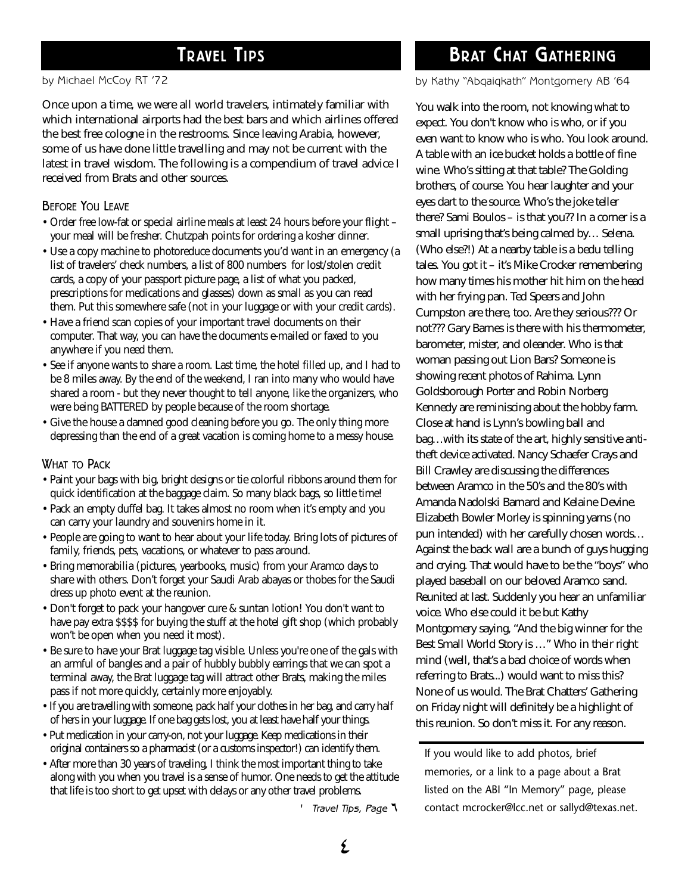by Michael McCoy RT '72

Once upon a time, we were all world travelers, intimately familiar with which international airports had the best bars and which airlines offered the best free cologne in the restrooms. Since leaving Arabia, however, some of us have done little travelling and may not be current with the latest in travel wisdom. The following is a compendium of travel advice I received from Brats and other sources.

#### BEFORE YOU LEAVE

- Order free low-fat or special airline meals at least 24 hours before your flight your meal will be fresher. Chutzpah points for ordering a kosher dinner.
- Use a copy machine to photoreduce documents you'd want in an emergency (a list of travelers' check numbers, a list of 800 numbers for lost/stolen credit cards, a copy of your passport picture page, a list of what you packed, prescriptions for medications and glasses) down as small as you can read them. Put this somewhere safe (not in your luggage or with your credit cards).
- Have a friend scan copies of your important travel documents on their computer. That way, you can have the documents e-mailed or faxed to you anywhere if you need them.
- See if anyone wants to share a room. Last time, the hotel filled up, and I had to be 8 miles away. By the end of the weekend, I ran into many who would have shared a room - but they never thought to tell anyone, like the organizers, who were being BATTERED by people because of the room shortage.
- Give the house a damned good cleaning before you go. The only thing more depressing than the end of a great vacation is coming home to a messy house.

#### WHAT TO PACK

- Paint your bags with big, bright designs or tie colorful ribbons around them for quick identification at the baggage claim. So many black bags, so little time!
- Pack an empty duffel bag. It takes almost no room when it's empty and you can carry your laundry and souvenirs home in it.
- People are going to want to hear about your life today. Bring lots of pictures of family, friends, pets, vacations, or whatever to pass around.
- Bring memorabilia (pictures, yearbooks, music) from your Aramco days to share with others. Don't forget your Saudi Arab abayas or thobes for the Saudi dress up photo event at the reunion.
- Don't forget to pack your hangover cure & suntan lotion! You don't want to have pay extra \$\$\$\$ for buying the stuff at the hotel gift shop (which probably won't be open when you need it most).
- Be sure to have your Brat luggage tag visible. Unless you're one of the gals with an armful of bangles and a pair of hubbly bubbly earrings that we can spot a terminal away, the Brat luggage tag will attract other Brats, making the miles pass if not more quickly, certainly more enjoyably.
- If you are travelling with someone, pack half your clothes in her bag, and carry half of hers in your luggage. If one bag gets lost, you at least have half your things.
- Put medication in your carry-on, not your luggage. Keep medications in their original containers so a pharmacist (or a customs inspector!) can identify them.
- After more than 30 years of traveling, I think the most important thing to take along with you when you travel is a sense of humor. One needs to get the attitude that life is too short to get upset with delays or any other travel problems.

' Travel Tips, Page ¶

# **TRAVEL TIPS BRAT CHAT GATHERING**

by Kathy "Abqaiqkath" Montgomery AB '64

You walk into the room, not knowing what to expect. You don't know who is who, or if you even want to know who is who. You look around. A table with an ice bucket holds a bottle of fine wine. Who's sitting at that table? The Golding brothers, of course. You hear laughter and your eyes dart to the source. Who's the joke teller there? Sami Boulos – is that you?? In a corner is a small uprising that's being calmed by… Selena. (Who else?!) At a nearby table is a bedu telling tales. You got it – it's Mike Crocker remembering how many times his mother hit him on the head with her frying pan. Ted Speers and John Cumpston are there, too. Are they serious??? Or not??? Gary Barnes is there with his thermometer, barometer, mister, and oleander. Who is that woman passing out Lion Bars? Someone is showing recent photos of Rahima. Lynn Goldsborough Porter and Robin Norberg Kennedy are reminiscing about the hobby farm. Close at hand is Lynn's bowling ball and bag…with its state of the art, highly sensitive antitheft device activated. Nancy Schaefer Crays and Bill Crawley are discussing the differences between Aramco in the 50's and the 80's with Amanda Nadolski Barnard and Kelaine Devine. Elizabeth Bowler Morley is spinning yarns (no pun intended) with her carefully chosen words… Against the back wall are a bunch of guys hugging and crying. That would have to be the "boys" who played baseball on our beloved Aramco sand. Reunited at last. Suddenly you hear an unfamiliar voice. Who else could it be but Kathy Montgomery saying, "And the big winner for the Best Small World Story is …" Who in their right mind (well, that's a bad choice of words when referring to Brats...) would want to miss this? None of us would. The Brat Chatters' Gathering on Friday night will definitely be a highlight of this reunion. So don't miss it. For any reason.

If you would like to add photos, brief memories, or a link to a page about a Brat listed on the ABI "In Memory" page, please contact mcrocker@lcc.net or sallyd@texas.net.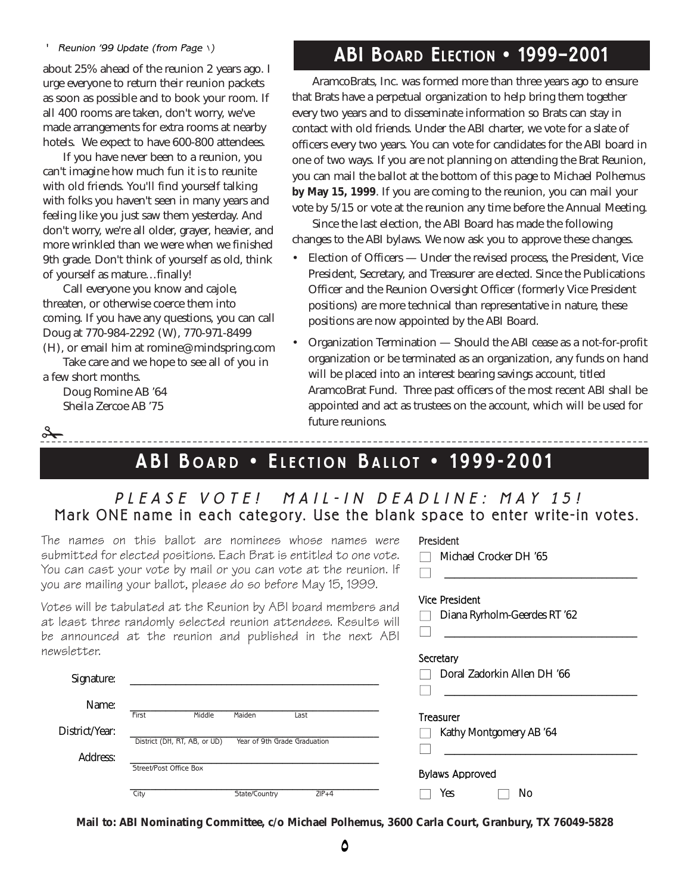#### ' Reunion '99 Update (from Page  $\setminus$ )

about 25% ahead of the reunion 2 years ago. I urge everyone to return their reunion packets as soon as possible and to book your room. If all 400 rooms are taken, don't worry, we've made arrangements for extra rooms at nearby hotels. We expect to have 600-800 attendees.

If you have never been to a reunion, you can't imagine how much fun it is to reunite with old friends. You'll find yourself talking with folks you haven't seen in many years and feeling like you just saw them yesterday. And don't worry, we're all older, grayer, heavier, and more wrinkled than we were when we finished 9th grade. Don't think of yourself as old, think of yourself as mature…finally!

Call everyone you know and cajole, threaten, or otherwise coerce them into coming. If you have any questions, you can call Doug at 770-984-2292 (W), 770-971-8499 (H), or email him at romine@mindspring.com

Take care and we hope to see all of you in a few short months.

Doug Romine AB '64 Sheila Zercoe AB '75

 $\overrightarrow{0}$ 

**ABI BOARD ELECTION • 1999–2001**

AramcoBrats, Inc. was formed more than three years ago to ensure that Brats have a perpetual organization to help bring them together every two years and to disseminate information so Brats can stay in contact with old friends. Under the ABI charter, we vote for a slate of officers every two years. You can vote for candidates for the ABI board in one of two ways. If you are not planning on attending the Brat Reunion, you can mail the ballot at the bottom of this page to Michael Polhemus **by May 15, 1999**. If you are coming to the reunion, you can mail your vote by 5/15 or vote at the reunion any time before the Annual Meeting.

Since the last election, the ABI Board has made the following changes to the ABI bylaws. We now ask you to approve these changes.

- Election of Officers Under the revised process, the President, Vice President, Secretary, and Treasurer are elected. Since the Publications Officer and the Reunion Oversight Officer (formerly Vice President positions) are more technical than representative in nature, these positions are now appointed by the ABI Board.
- Organization Termination Should the ABI cease as a not-for-profit organization or be terminated as an organization, any funds on hand will be placed into an interest bearing savings account, titled AramcoBrat Fund. Three past officers of the most recent ABI shall be appointed and act as trustees on the account, which will be used for future reunions.

President

Vice President

 $\Box$  Michael Crocker DH '65

□ Diana Ryrholm-Geerdes RT '62

■ \_\_\_\_\_\_\_\_\_\_\_\_\_\_\_\_\_\_\_\_\_\_\_\_\_\_\_\_\_\_\_\_\_\_\_\_\_\_

■ \_\_\_\_\_\_\_\_\_\_\_\_\_\_\_\_\_\_\_\_\_\_\_\_\_\_\_\_\_\_\_\_\_\_\_\_\_\_

### **A B I B OAR D • E LEC TION B ALL O T • 19 9 9-2 0 01**

### PLEASE VOTE! MAIL-IN DEADLINE: MAY 15! Mark ONE name in each category. Use the blank space to enter write-in votes.

The names on this ballot are nominees whose names were submitted for elected positions. Each Brat is entitled to one vote. You can cast your vote by mail or you can vote at the reunion. If you are mailing your ballot, please do so before May 15, 1999.

Votes will be tabulated at the Reunion by ABI board members and at least three randomly selected reunion attendees. Results will be announced at the reunion and published in the next ABI newsletter.

| 1010 DUI :     |                              |                              |         | Secretary                         |  |  |
|----------------|------------------------------|------------------------------|---------|-----------------------------------|--|--|
| Signature:     |                              |                              |         | Doral Zadorkin Allen DH '66       |  |  |
|                |                              |                              |         |                                   |  |  |
| Name:          |                              |                              |         |                                   |  |  |
|                | Middle<br>First              | Maiden                       | Last    | Treasurer                         |  |  |
| District/Year: |                              |                              |         | Kathy Montgomery AB '64<br>$\Box$ |  |  |
|                | District (DH, RT, AB, or UD) | Year of 9th Grade Graduation |         |                                   |  |  |
| Address:       |                              |                              |         |                                   |  |  |
|                | Street/Post Office Box       |                              |         | <b>Bylaws Approved</b>            |  |  |
|                | City                         | State/Country                | $ZIP+4$ | Yes<br>No                         |  |  |

**Mail to: ABI Nominating Committee, c/o Michael Polhemus, 3600 Carla Court, Granbury, TX 76049-5828**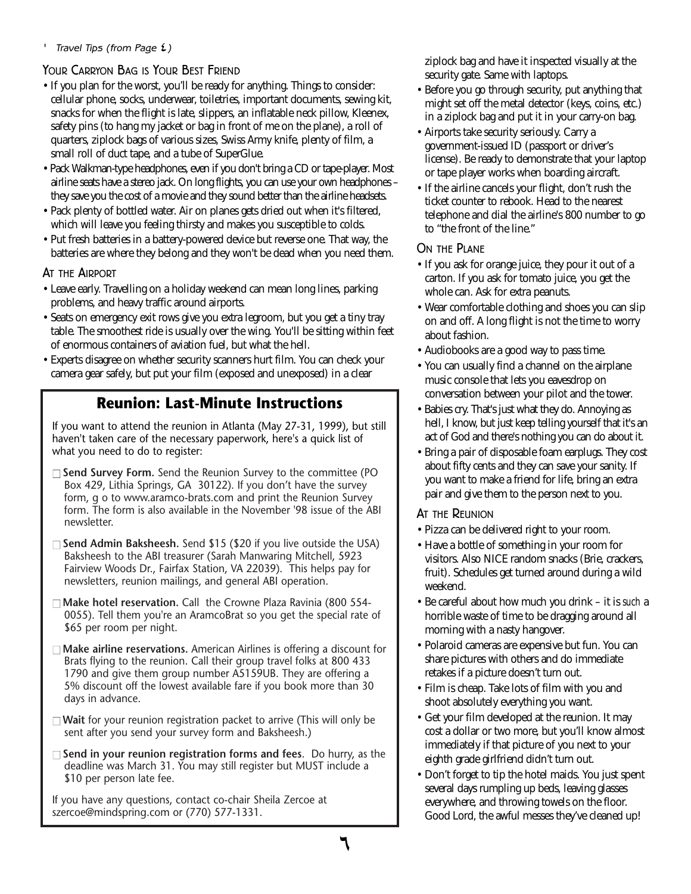### ' Travel Tips (from Page  $\mathfrak{t}$  )

### YOUR CARRYON BAG IS YOUR BEST FRIEND

- If you plan for the worst, you'll be ready for anything. Things to consider: cellular phone, socks, underwear, toiletries, important documents, sewing kit, snacks for when the flight is late, slippers, an inflatable neck pillow, Kleenex, safety pins (to hang my jacket or bag in front of me on the plane), a roll of quarters, ziplock bags of various sizes, Swiss Army knife, plenty of film, a small roll of duct tape, and a tube of SuperGlue.
- Pack Walkman-type headphones, even if you don't bring a CD or tape-player. Most airline seats have a stereo jack. On long flights, you can use your own headphones – they save you the cost of a movie and they sound better than the airline headsets.
- Pack plenty of bottled water. Air on planes gets dried out when it's filtered, which will leave you feeling thirsty and makes you susceptible to colds.
- Put fresh batteries in a battery-powered device but reverse one. That way, the batteries are where they belong and they won't be dead when you need them.

### AT THE AIRPORT

- Leave early. Travelling on a holiday weekend can mean long lines, parking problems, and heavy traffic around airports.
- Seats on emergency exit rows give you extra legroom, but you get a tiny tray table. The smoothest ride is usually over the wing. You'll be sitting within feet of enormous containers of aviation fuel, but what the hell.
- Experts disagree on whether security scanners hurt film. You can check your camera gear safely, but put your film (exposed and unexposed) in a clear

### **Reunion: Last-Minute Instructions**

If you want to attend the reunion in Atlanta (May 27-31, 1999), but still haven't taken care of the necessary paperwork, here's a quick list of what you need to do to register:

- □ **Send Survey Form.** Send the Reunion Survey to the committee (PO Box 429, Lithia Springs, GA 30122). If you don't have the survey form, g o to www.aramco-brats.com and print the Reunion Survey form. The form is also available in the November '98 issue of the ABI newsletter.
- □ **Send Admin Baksheesh.** Send \$15 (\$20 if you live outside the USA) Baksheesh to the ABI treasurer (Sarah Manwaring Mitchell, 5923 Fairview Woods Dr., Fairfax Station, VA 22039). This helps pay for newsletters, reunion mailings, and general ABI operation.
- □ **Make hotel reservation.** Call the Crowne Plaza Ravinia (800 554-0055). Tell them you're an AramcoBrat so you get the special rate of \$65 per room per night.
- □ **Make airline reservations.** American Airlines is offering a discount for Brats flying to the reunion. Call their group travel folks at 800 433 1790 and give them group number A5159UB. They are offering a 5% discount off the lowest available fare if you book more than 30 days in advance.
- □ Wait for your reunion registration packet to arrive (This will only be sent after you send your survey form and Baksheesh.)
- □ **Send in your reunion registration forms and fees.** Do hurry, as the deadline was March 31. You may still register but MUST include a \$10 per person late fee.

If you have any questions, contact co-chair Sheila Zercoe at szercoe@mindspring.com or (770) 577-1331.

ziplock bag and have it inspected visually at the security gate. Same with laptops.

- Before you go through security, put anything that might set off the metal detector (keys, coins, etc.) in a ziplock bag and put it in your carry-on bag.
- Airports take security seriously. Carry a government-issued ID (passport or driver's license). Be ready to demonstrate that your laptop or tape player works when boarding aircraft.
- If the airline cancels your flight, don't rush the ticket counter to rebook. Head to the nearest telephone and dial the airline's 800 number to go to "the front of the line."

### ON THE PLANE

- If you ask for orange juice, they pour it out of a carton. If you ask for tomato juice, you get the whole can. Ask for extra peanuts.
- Wear comfortable clothing and shoes you can slip on and off. A long flight is not the time to worry about fashion.
- Audiobooks are a good way to pass time.
- You can usually find a channel on the airplane music console that lets you eavesdrop on conversation between your pilot and the tower.
- Babies cry. That's just what they do. Annoying as hell, I know, but just keep telling yourself that it's an act of God and there's nothing you can do about it.
- Bring a pair of disposable foam earplugs. They cost about fifty cents and they can save your sanity. If you want to make a friend for life, bring an extra pair and give them to the person next to you.

#### AT THE REUNION

- Pizza can be delivered right to your room.
- Have a bottle of something in your room for visitors. Also NICE random snacks (Brie, crackers, fruit). Schedules get turned around during a wild weekend.
- Be careful about how much you drink it is *such* a horrible waste of time to be dragging around all morning with a nasty hangover.
- Polaroid cameras are expensive but fun. You can share pictures with others and do immediate retakes if a picture doesn't turn out.
- Film is cheap. Take lots of film with you and shoot absolutely everything you want.
- Get your film developed at the reunion. It may cost a dollar or two more, but you'll know almost immediately if that picture of you next to your eighth grade girlfriend didn't turn out.
- Don't forget to tip the hotel maids. You just spent several days rumpling up beds, leaving glasses everywhere, and throwing towels on the floor. Good Lord, the awful messes they've cleaned up!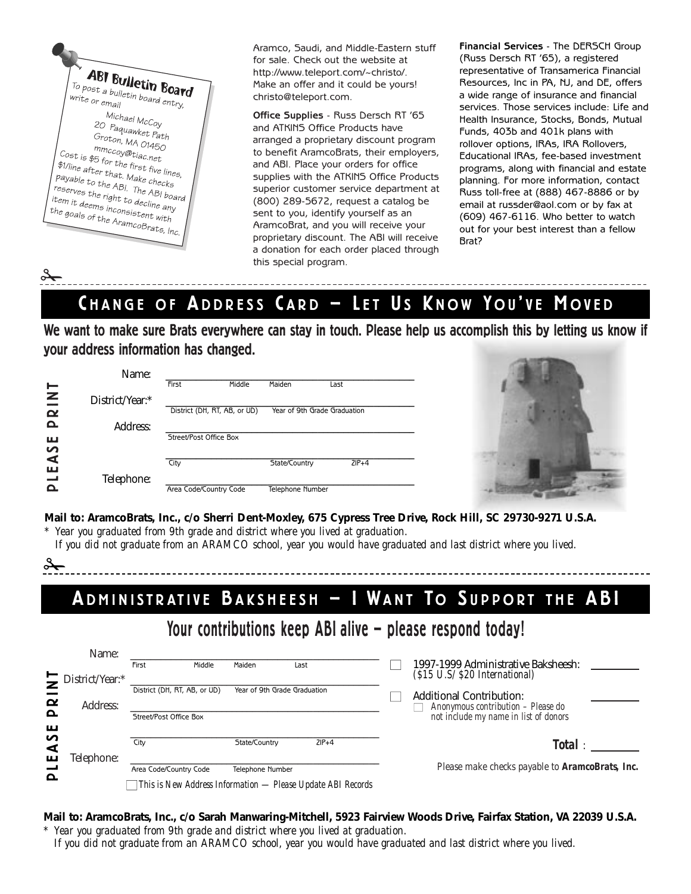**ABI Bulletin Board**  $\frac{1}{T^O}$  post a bulletin **Boar**<br>write or email write or email nail<br>Michael McCoy<br>Paguaut 20 Paquawket Path<br>Groton, MA 21 Groton, MA 01450 mmccoy@tiac.net<br>b5 for the *£* mmccoy@tiac.net<br>\$1/line after the first five lines<br>\$1/line after that. Make chartes, 95 for the first five line<br>\$1/line after that. Make checks<br>payable to the ABI. The ADI Figure after that. Make checks<br>payable to the ABI. The ABI board<br>reserves the right to decline .<br>tem it deen. revable to the ABI. The ABI boa,<br>reserves the right to decline and<br>item it deems inconsistent windows<br>the goals of windows item it deems inconsistent with<br>the goals of the consistent with<br>the goals of the Aramcore. Form it deems inconsistent with<br>the goals of the AramcoBrats, Inc.

 $\frac{1}{\sqrt{2}}$ 

Aramco, Saudi, and Middle-Eastern stuff for sale. Check out the website at http://www.teleport.com/~christo/. Make an offer and it could be yours! christo@teleport.com.

**Office Supplies** - Russ Dersch RT '65 and ATKINS Office Products have arranged a proprietary discount program to benefit AramcoBrats, their employers, and ABI. Place your orders for office supplies with the ATKINS Office Products superior customer service department at (800) 289-5672, request a catalog be sent to you, identify yourself as an AramcoBrat, and you will receive your proprietary discount. The ABI will receive a donation for each order placed through this special program.

**Financial Services** - The DERSCH Group (Russ Dersch RT '65), a registered representative of Transamerica Financial Resources, Inc in PA, NJ, and DE, offers a wide range of insurance and financial services. Those services include: Life and Health Insurance, Stocks, Bonds, Mutual Funds, 403b and 401k plans with rollover options, IRAs, IRA Rollovers, Educational IRAs, fee-based investment programs, along with financial and estate planning. For more information, contact Russ toll-free at (888) 467-8886 or by email at russder@aol.com or by fax at (609) 467-6116. Who better to watch out for your best interest than a fellow Brat?

# CHANGE OF ADDRESS CARD - LET US KNOW YOU'VE MOVED

**We want to make sure Brats everywhere can stay in touch. Please help us accomplish this by letting us know if your address information has changed.**

|              | Name:           |                              |        |                              |         |  |
|--------------|-----------------|------------------------------|--------|------------------------------|---------|--|
|              |                 | First                        | Middle | Maiden                       | Last    |  |
| <b>RINT</b>  | District/Year:* |                              |        |                              |         |  |
|              |                 | District (DH, RT, AB, or UD) |        | Year of 9th Grade Graduation |         |  |
| Δ.           | Address:        |                              |        |                              |         |  |
| ш            |                 | Street/Post Office Box       |        |                              |         |  |
| $\mathbf{v}$ |                 |                              |        |                              |         |  |
| ⋖<br>ш       |                 | City                         |        | State/Country                | $ZIP+4$ |  |
|              | Telephone:      |                              |        |                              |         |  |
|              |                 | Area Code/Country Code       |        | Telephone Number             |         |  |



**Mail to: AramcoBrats, Inc., c/o Sherri Dent-Moxley, 675 Cypress Tree Drive, Rock Hill, SC 29730-9271 U.S.A.**

*\* Year you graduated from 9th grade and district where you lived at graduation. If you did not graduate from an ARAMCO school, year you would have graduated and last district where you lived.*

✁

# ADMINISTRATIVE BAKSHEESH - I WANT TO SUPPORT THE ABI

# **Your contributions keep ABI alive — please respond today!**

|                       | Name:           |                                                             |                              |         |                                                                                       |
|-----------------------|-----------------|-------------------------------------------------------------|------------------------------|---------|---------------------------------------------------------------------------------------|
|                       | District/Year:* | Middle<br>First                                             | Maiden                       | Last    | 1997-1999 Administrative Baksheesh:<br>$(S15 \text{ U.S} / \text{$20 International})$ |
| $\boldsymbol{\alpha}$ | Address:        | District (DH, RT, AB, or UD)                                | Year of 9th Grade Graduation |         | <b>Additional Contribution:</b><br>Anonymous contribution – Please do                 |
| $\Omega$<br>ш         |                 | Street/Post Office Box                                      |                              |         | not include my name in list of donors                                                 |
| n<br>⋖                |                 | City                                                        | State/Country                | $ZIP+4$ | Total:                                                                                |
| ш                     | Felephone:      | Area Code/Country Code                                      | <b>Telephone Number</b>      |         | Please make checks payable to AramcoBrats, Inc.                                       |
| $\mathbf{a}$          |                 | This is New Address Information — Please Update ABI Records |                              |         |                                                                                       |

#### **Mail to: AramcoBrats, Inc., c/o Sarah Manwaring-Mitchell, 5923 Fairview Woods Drive, Fairfax Station, VA 22039 U.S.A.** *\* Year you graduated from 9th grade and district where you lived at graduation.*

*If you did not graduate from an ARAMCO school, year you would have graduated and last district where you lived.*